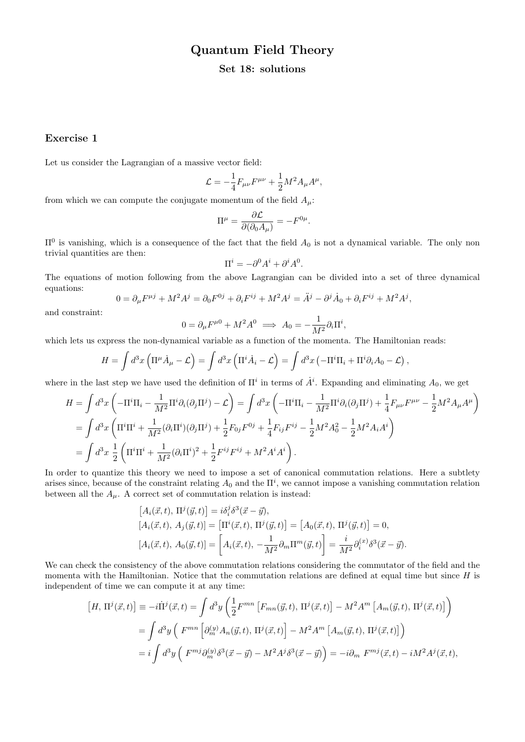# Quantum Field Theory

#### Set 18: solutions

#### Exercise 1

Let us consider the Lagrangian of a massive vector field:

$$
\mathcal{L} = -\frac{1}{4} F_{\mu\nu} F^{\mu\nu} + \frac{1}{2} M^2 A_{\mu} A^{\mu},
$$

from which we can compute the conjugate momentum of the field  $A_{\mu}$ :

$$
\Pi^{\mu} = \frac{\partial \mathcal{L}}{\partial(\partial_0 A_{\mu})} = -F^{0\mu}.
$$

 $\Pi^0$  is vanishing, which is a consequence of the fact that the field  $A_0$  is not a dynamical variable. The only non trivial quantities are then:

$$
\Pi^i = -\partial^0 A^i + \partial^i A^0.
$$

The equations of motion following from the above Lagrangian can be divided into a set of three dynamical equations:

$$
0 = \partial_{\mu}F^{\mu j} + M^2A^j = \partial_0F^{0j} + \partial_iF^{ij} + M^2A^j = \ddot{A}^j - \partial^j\dot{A}_0 + \partial_iF^{ij} + M^2A^j,
$$

and constraint:

$$
0 = \partial_{\mu} F^{\mu 0} + M^2 A^0 \implies A_0 = -\frac{1}{M^2} \partial_i \Pi^i,
$$

which lets us express the non-dynamical variable as a function of the momenta. The Hamiltonian reads:

$$
H = \int d^3x \left( \Pi^{\mu} \dot{A}_{\mu} - \mathcal{L} \right) = \int d^3x \left( \Pi^i \dot{A}_i - \mathcal{L} \right) = \int d^3x \left( -\Pi^i \Pi_i + \Pi^i \partial_i A_0 - \mathcal{L} \right),
$$

where in the last step we have used the definition of  $\Pi^i$  in terms of  $\dot{A}^i$ . Expanding and eliminating  $A_0$ , we get

$$
H = \int d^3x \left( -\Pi^i \Pi_i - \frac{1}{M^2} \Pi^i \partial_i (\partial_j \Pi^j) - \mathcal{L} \right) = \int d^3x \left( -\Pi^i \Pi_i - \frac{1}{M^2} \Pi^i \partial_i (\partial_j \Pi^j) + \frac{1}{4} F_{\mu\nu} F^{\mu\nu} - \frac{1}{2} M^2 A_\mu A^\mu \right)
$$
  
= 
$$
\int d^3x \left( \Pi^i \Pi^i + \frac{1}{M^2} (\partial_i \Pi^i)(\partial_j \Pi^j) + \frac{1}{2} F_{0j} F^{0j} + \frac{1}{4} F_{ij} F^{ij} - \frac{1}{2} M^2 A_0^2 - \frac{1}{2} M^2 A_i A^i \right)
$$
  
= 
$$
\int d^3x \frac{1}{2} \left( \Pi^i \Pi^i + \frac{1}{M^2} (\partial_i \Pi^i)^2 + \frac{1}{2} F^{ij} F^{ij} + M^2 A^i A^i \right).
$$

In order to quantize this theory we need to impose a set of canonical commutation relations. Here a subtlety arises since, because of the constraint relating  $A_0$  and the  $\Pi^i$ , we cannot impose a vanishing commutation relation between all the  $A_{\mu}$ . A correct set of commutation relation is instead:

$$
[A_i(\vec{x},t), \Pi^j(\vec{y},t)] = i\delta_i^j \delta^3(\vec{x}-\vec{y}), [A_i(\vec{x},t), A_j(\vec{y},t)] = [\Pi^i(\vec{x},t), \Pi^j(\vec{y},t)] = [A_0(\vec{x},t), \Pi^j(\vec{y},t)] = 0, [A_i(\vec{x},t), A_0(\vec{y},t)] = \left[A_i(\vec{x},t), -\frac{1}{M^2}\partial_m\Pi^m(\vec{y},t)\right] = \frac{i}{M^2}\partial_i^{(x)}\delta^3(\vec{x}-\vec{y}).
$$

We can check the consistency of the above commutation relations considering the commutator of the field and the momenta with the Hamiltonian. Notice that the commutation relations are defined at equal time but since  $H$  is independent of time we can compute it at any time:

$$
[H, \Pi^{j}(\vec{x}, t)] \equiv -i\Pi^{j}(\vec{x}, t) = \int d^{3}y \left( \frac{1}{2}F^{mn} \left[ F_{mn}(\vec{y}, t), \Pi^{j}(\vec{x}, t) \right] - M^{2}A^{m} \left[ A_{m}(\vec{y}, t), \Pi^{j}(\vec{x}, t) \right] \right)
$$
  

$$
= \int d^{3}y \left( F^{mn} \left[ \partial_{m}^{(y)} A_{n}(\vec{y}, t), \Pi^{j}(\vec{x}, t) \right] - M^{2}A^{m} \left[ A_{m}(\vec{y}, t), \Pi^{j}(\vec{x}, t) \right] \right)
$$
  

$$
= i \int d^{3}y \left( F^{mj} \partial_{m}^{(y)} \delta^{3}(\vec{x} - \vec{y}) - M^{2}A^{j} \delta^{3}(\vec{x} - \vec{y}) \right) = -i \partial_{m} F^{mj}(\vec{x}, t) - iM^{2}A^{j}(\vec{x}, t),
$$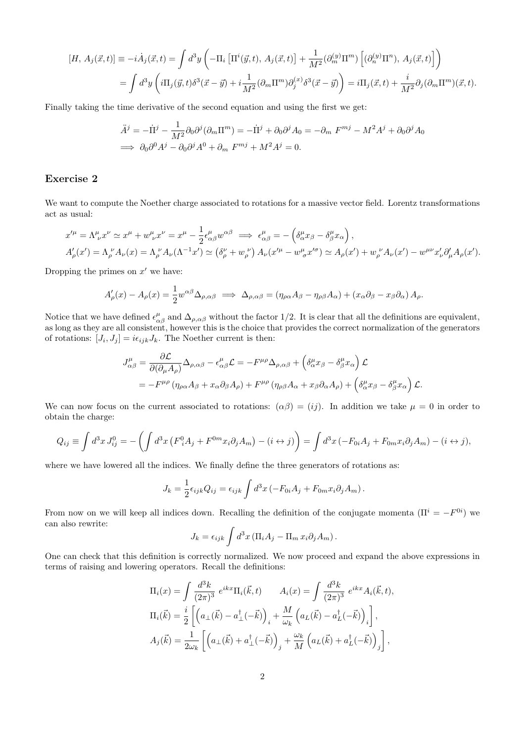$$
[H, A_j(\vec{x}, t)] \equiv -i\dot{A}_j(\vec{x}, t) = \int d^3y \left( -\Pi_i \left[ \Pi^i(\vec{y}, t), A_j(\vec{x}, t) \right] + \frac{1}{M^2} (\partial_m^{(y)} \Pi^m) \left[ (\partial_n^{(y)} \Pi^n), A_j(\vec{x}, t) \right] \right)
$$
  

$$
= \int d^3y \left( i\Pi_j(\vec{y}, t) \delta^3(\vec{x} - \vec{y}) + i \frac{1}{M^2} (\partial_m \Pi^m) \partial_j^{(x)} \delta^3(\vec{x} - \vec{y}) \right) = i\Pi_j(\vec{x}, t) + \frac{i}{M^2} \partial_j (\partial_m \Pi^m)(\vec{x}, t).
$$

Finally taking the time derivative of the second equation and using the first we get:

$$
\ddot{A}^j = -\dot{\Pi}^j - \frac{1}{M^2} \partial_0 \partial^j (\partial_m \Pi^m) = -\dot{\Pi}^j + \partial_0 \partial^j A_0 = -\partial_m F^{mj} - M^2 A^j + \partial_0 \partial^j A_0
$$
  
\n
$$
\implies \partial_0 \partial^0 A^j - \partial_0 \partial^j A^0 + \partial_m F^{mj} + M^2 A^j = 0.
$$

### Exercise 2

We want to compute the Noether charge associated to rotations for a massive vector field. Lorentz transformations act as usual:

$$
x'^{\mu} = \Lambda^{\mu}_{\ \nu} x^{\nu} \simeq x^{\mu} + w^{\mu}_{\ \nu} x^{\nu} = x^{\mu} - \frac{1}{2} \epsilon^{\mu}_{\alpha\beta} w^{\alpha\beta} \implies \epsilon^{\mu}_{\alpha\beta} = -\left(\delta^{\mu}_{\alpha} x_{\beta} - \delta^{\mu}_{\beta} x_{\alpha}\right),
$$
  

$$
A'_{\rho}(x') = \Lambda^{\ \nu}_{\rho} A_{\nu}(x) = \Lambda^{\ \nu}_{\rho} A_{\nu}(\Lambda^{-1} x') \simeq \left(\delta^{\nu}_{\rho} + w^{\ \nu}_{\rho}\right) A_{\nu}(x'^{\mu} - w^{\mu}_{\sigma} x'^{\sigma}) \simeq A_{\rho}(x') + w^{\ \nu}_{\rho} A_{\nu}(x') - w^{\mu\nu} x'_{\nu} \partial'_{\mu} A_{\rho}(x').
$$

Dropping the primes on  $x'$  we have:

$$
A'_{\rho}(x) - A_{\rho}(x) = \frac{1}{2} w^{\alpha\beta} \Delta_{\rho,\alpha\beta} \implies \Delta_{\rho,\alpha\beta} = (\eta_{\rho\alpha} A_{\beta} - \eta_{\rho\beta} A_{\alpha}) + (x_{\alpha} \partial_{\beta} - x_{\beta} \partial_{\alpha}) A_{\rho}.
$$

Notice that we have defined  $\epsilon_{\alpha\beta}^{\mu}$  and  $\Delta_{\rho,\alpha\beta}$  without the factor 1/2. It is clear that all the definitions are equivalent, as long as they are all consistent, however this is the choice that provides the correct normalization of the generators of rotations:  $[J_i, J_j] = i\epsilon_{ijk}J_k$ . The Noether current is then:

$$
J_{\alpha\beta}^{\mu} = \frac{\partial \mathcal{L}}{\partial(\partial_{\mu}A_{\rho})}\Delta_{\rho,\alpha\beta} - \epsilon_{\alpha\beta}^{\mu}\mathcal{L} = -F^{\mu\rho}\Delta_{\rho,\alpha\beta} + \left(\delta_{\alpha}^{\mu}x_{\beta} - \delta_{\beta}^{\mu}x_{\alpha}\right)\mathcal{L}
$$
  
=  $-F^{\mu\rho}(\eta_{\rho\alpha}A_{\beta} + x_{\alpha}\partial_{\beta}A_{\rho}) + F^{\mu\rho}(\eta_{\rho\beta}A_{\alpha} + x_{\beta}\partial_{\alpha}A_{\rho}) + \left(\delta_{\alpha}^{\mu}x_{\beta} - \delta_{\beta}^{\mu}x_{\alpha}\right)\mathcal{L}.$ 

We can now focus on the current associated to rotations:  $(\alpha\beta) = (ij)$ . In addition we take  $\mu = 0$  in order to obtain the charge:

$$
Q_{ij} \equiv \int d^3x J_{ij}^0 = -\left(\int d^3x \left(F^0_i A_j + F^{0m} x_i \partial_j A_m\right) - (i \leftrightarrow j)\right) = \int d^3x \left(-F_{0i} A_j + F_{0m} x_i \partial_j A_m\right) - (i \leftrightarrow j),
$$

where we have lowered all the indices. We finally define the three generators of rotations as:

$$
J_k = \frac{1}{2} \epsilon_{ijk} Q_{ij} = \epsilon_{ijk} \int d^3x \left( -F_{0i} A_j + F_{0m} x_i \partial_j A_m \right).
$$

From now on we will keep all indices down. Recalling the definition of the conjugate momenta  $(\Pi^{i} = -F^{0i})$  we can also rewrite:

$$
J_k = \epsilon_{ijk} \int d^3x \left( \Pi_i A_j - \Pi_m x_i \partial_j A_m \right).
$$

One can check that this definition is correctly normalized. We now proceed and expand the above expressions in terms of raising and lowering operators. Recall the definitions:

$$
\Pi_i(x) = \int \frac{d^3k}{(2\pi)^3} e^{ikx} \Pi_i(\vec{k}, t) \qquad A_i(x) = \int \frac{d^3k}{(2\pi)^3} e^{ikx} A_i(\vec{k}, t),
$$
  

$$
\Pi_i(\vec{k}) = \frac{i}{2} \left[ \left( a_\perp(\vec{k}) - a_\perp^\dagger(-\vec{k}) \right)_i + \frac{M}{\omega_k} \left( a_L(\vec{k}) - a_L^\dagger(-\vec{k}) \right)_i \right],
$$
  

$$
A_j(\vec{k}) = \frac{1}{2\omega_k} \left[ \left( a_\perp(\vec{k}) + a_\perp^\dagger(-\vec{k}) \right)_j + \frac{\omega_k}{M} \left( a_L(\vec{k}) + a_L^\dagger(-\vec{k}) \right)_j \right],
$$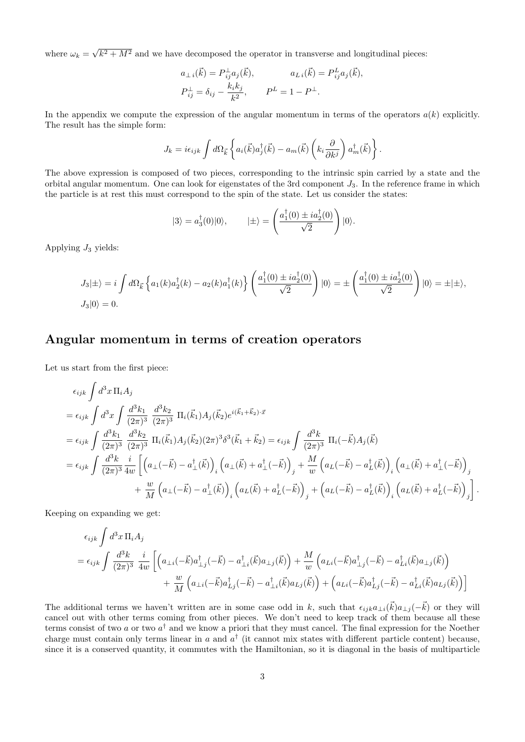where  $\omega_k =$ √  $\sqrt{k^2 + M^2}$  and we have decomposed the operator in transverse and longitudinal pieces:

$$
a_{\perp i}(\vec{k}) = P_{ij}^{\perp} a_j(\vec{k}), \qquad a_{L i}(\vec{k}) = P_{ij}^L a_j(\vec{k}),
$$
  

$$
P_{ij}^{\perp} = \delta_{ij} - \frac{k_i k_j}{k^2}, \qquad P^L = 1 - P^{\perp}.
$$

In the appendix we compute the expression of the angular momentum in terms of the operators  $a(k)$  explicitly. The result has the simple form:

$$
J_k = i\epsilon_{ijk} \int d\Omega_{\vec{k}} \left\{ a_i(\vec{k}) a_j^{\dagger}(\vec{k}) - a_m(\vec{k}) \left( k_i \frac{\partial}{\partial k^j} \right) a_m^{\dagger}(\vec{k}) \right\}.
$$

The above expression is composed of two pieces, corresponding to the intrinsic spin carried by a state and the orbital angular momentum. One can look for eigenstates of the 3rd component  $J_3$ . In the reference frame in which the particle is at rest this must correspond to the spin of the state. Let us consider the states:

$$
|3\rangle = a_3^{\dagger}(0)|0\rangle, \qquad |\pm\rangle = \left(\frac{a_1^{\dagger}(0) \pm ia_2^{\dagger}(0)}{\sqrt{2}}\right)|0\rangle.
$$

Applying  $J_3$  yields:

$$
J_3|\pm\rangle = i \int d\Omega_{\vec{k}} \left\{ a_1(k)a_2^{\dagger}(k) - a_2(k)a_1^{\dagger}(k) \right\} \left( \frac{a_1^{\dagger}(0) \pm ia_2^{\dagger}(0)}{\sqrt{2}} \right) |0\rangle = \pm \left( \frac{a_1^{\dagger}(0) \pm ia_2^{\dagger}(0)}{\sqrt{2}} \right) |0\rangle = \pm |\pm\rangle,
$$
  

$$
J_3|0\rangle = 0.
$$

## Angular momentum in terms of creation operators

Let us start from the first piece:

$$
\epsilon_{ijk} \int d^3x \, \Pi_i A_j
$$
\n
$$
= \epsilon_{ijk} \int d^3x \int \frac{d^3k_1}{(2\pi)^3} \frac{d^3k_2}{(2\pi)^3} \, \Pi_i(\vec{k}_1) A_j(\vec{k}_2) e^{i(\vec{k}_1 + \vec{k}_2) \cdot \vec{x}}
$$
\n
$$
= \epsilon_{ijk} \int \frac{d^3k_1}{(2\pi)^3} \frac{d^3k_2}{(2\pi)^3} \, \Pi_i(\vec{k}_1) A_j(\vec{k}_2) (2\pi)^3 \delta^3(\vec{k}_1 + \vec{k}_2) = \epsilon_{ijk} \int \frac{d^3k_1}{(2\pi)^3} \, \Pi_i(-\vec{k}) A_j(\vec{k})
$$
\n
$$
= \epsilon_{ijk} \int \frac{d^3k_1}{(2\pi)^3} \frac{i}{4w} \left[ \left( a_\perp(-\vec{k}) - a_\perp^\dagger(\vec{k}) \right)_i \left( a_\perp(\vec{k}) + a_\perp^\dagger(-\vec{k}) \right)_j + \frac{M}{w} \left( a_\perp(-\vec{k}) - a_\perp^\dagger(\vec{k}) \right)_i \left( a_\perp(\vec{k}) + a_\perp^\dagger(-\vec{k}) \right)_j \right. \\
\left. + \frac{w}{M} \left( a_\perp(-\vec{k}) - a_\perp^\dagger(\vec{k}) \right)_i \left( a_\perp(\vec{k}) + a_\perp^\dagger(-\vec{k}) \right)_j + \left( a_\perp(-\vec{k}) - a_\perp^\dagger(\vec{k}) \right)_i \left( a_\perp(\vec{k}) + a_\perp^\dagger(-\vec{k}) \right)_j \right].
$$

Keeping on expanding we get:

$$
\epsilon_{ijk} \int d^3x \, \Pi_i A_j
$$
\n
$$
= \epsilon_{ijk} \int \frac{d^3k}{(2\pi)^3} \, \frac{i}{4w} \left[ \left( a_{\perp i}(-\vec{k}) a_{\perp j}^{\dagger}(-\vec{k}) - a_{\perp i}^{\dagger}(\vec{k}) a_{\perp j}(\vec{k}) \right) + \frac{M}{w} \left( a_{Li}(-\vec{k}) a_{\perp j}^{\dagger}(-\vec{k}) - a_{Li}^{\dagger}(\vec{k}) a_{\perp j}(\vec{k}) \right) \right.
$$
\n
$$
+ \frac{w}{M} \left( a_{\perp i}(-\vec{k}) a_{Lj}^{\dagger}(-\vec{k}) - a_{\perp i}^{\dagger}(\vec{k}) a_{Lj}(\vec{k}) \right) + \left( a_{Li}(-\vec{k}) a_{Lj}^{\dagger}(-\vec{k}) - a_{Li}^{\dagger}(\vec{k}) a_{Lj}(\vec{k}) \right) \right]
$$

The additional terms we haven't written are in some case odd in k, such that  $\epsilon_{ijk}a_{\perp i}(\vec{k})a_{\perp j}(-\vec{k})$  or they will cancel out with other terms coming from other pieces. We don't need to keep track of them because all these terms consist of two a or two  $a^{\dagger}$  and we know a priori that they must cancel. The final expression for the Noether charge must contain only terms linear in a and  $a^{\dagger}$  (it cannot mix states with different particle content) because, since it is a conserved quantity, it commutes with the Hamiltonian, so it is diagonal in the basis of multiparticle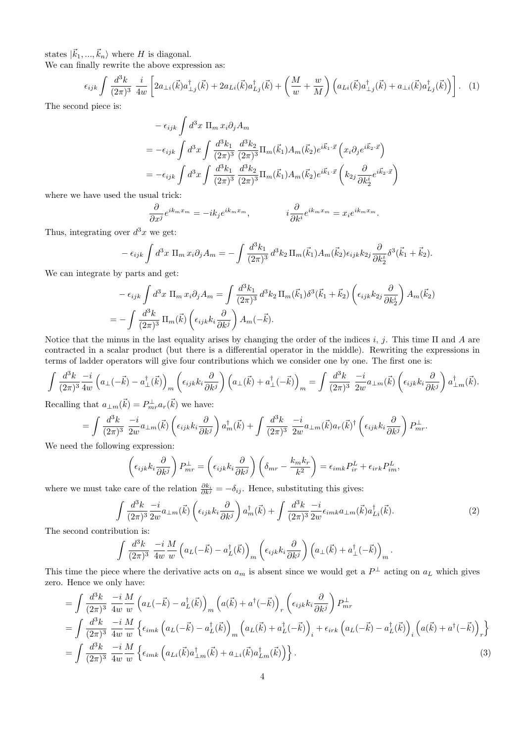states  $|\vec{k}_1, ..., \vec{k}_n\rangle$  where H is diagonal.

We can finally rewrite the above expression as:

$$
\epsilon_{ijk} \int \frac{d^3k}{(2\pi)^3} \frac{i}{4w} \left[ 2a_{\perp i}(\vec{k}) a_{\perp j}^\dagger(\vec{k}) + 2a_{Li}(\vec{k}) a_{Lj}^\dagger(\vec{k}) + \left( \frac{M}{w} + \frac{w}{M} \right) \left( a_{Li}(\vec{k}) a_{\perp j}^\dagger(\vec{k}) + a_{\perp i}(\vec{k}) a_{Lj}^\dagger(\vec{k}) \right) \right]. \tag{1}
$$

The second piece is:

$$
- \epsilon_{ijk} \int d^3x \, \Pi_m \, x_i \partial_j A_m
$$
  
=  $-\epsilon_{ijk} \int d^3x \int \frac{d^3k_1}{(2\pi)^3} \frac{d^3k_2}{(2\pi)^3} \Pi_m(\vec{k}_1) A_m(\vec{k}_2) e^{i\vec{k}_1 \cdot \vec{x}} \left( x_i \partial_j e^{i\vec{k}_2 \cdot \vec{x}} \right)$   
=  $-\epsilon_{ijk} \int d^3x \int \frac{d^3k_1}{(2\pi)^3} \frac{d^3k_2}{(2\pi)^3} \Pi_m(\vec{k}_1) A_m(\vec{k}_2) e^{i\vec{k}_1 \cdot \vec{x}} \left( k_{2j} \frac{\partial}{\partial k_2^i} e^{i\vec{k}_2 \cdot \vec{x}} \right)$ 

where we have used the usual trick:

$$
\frac{\partial}{\partial x^j} e^{ik_m x_m} = -ik_j e^{ik_m x_m}, \qquad i \frac{\partial}{\partial k^i} e^{ik_m x_m} = x_i e^{ik_m x_m}.
$$

Thus, integrating over  $d^3x$  we get:

$$
-\epsilon_{ijk} \int d^3x \, \Pi_m \, x_i \partial_j A_m = -\int \frac{d^3k_1}{(2\pi)^3} \, d^3k_2 \, \Pi_m(\vec{k}_1) A_m(\vec{k}_2) \epsilon_{ijk} k_{2j} \frac{\partial}{\partial k_2^i} \delta^3(\vec{k}_1 + \vec{k}_2).
$$

We can integrate by parts and get:

$$
- \epsilon_{ijk} \int d^3x \, \Pi_m \, x_i \partial_j A_m = \int \frac{d^3k_1}{(2\pi)^3} \, d^3k_2 \, \Pi_m(\vec{k}_1) \delta^3(\vec{k}_1 + \vec{k}_2) \left( \epsilon_{ijk} k_{2j} \frac{\partial}{\partial k_2^i} \right) A_m(\vec{k}_2)
$$

$$
= - \int \frac{d^3k}{(2\pi)^3} \, \Pi_m(\vec{k}) \left( \epsilon_{ijk} k_i \frac{\partial}{\partial k^j} \right) A_m(-\vec{k}).
$$

Notice that the minus in the last equality arises by changing the order of the indices i, j. This time  $\Pi$  and  $A$  are contracted in a scalar product (but there is a differential operator in the middle). Rewriting the expressions in terms of ladder operators will give four contributions which we consider one by one. The first one is:

$$
\int \frac{d^3k}{(2\pi)^3} \frac{-i}{4w} \left( a_\perp (-\vec{k}) - a_\perp^{\dagger} (\vec{k}) \right)_m \left( \epsilon_{ijk} k_i \frac{\partial}{\partial k^j} \right) \left( a_\perp (\vec{k}) + a_\perp^{\dagger} (-\vec{k}) \right)_m = \int \frac{d^3k}{(2\pi)^3} \frac{-i}{2w} a_{\perp m} (\vec{k}) \left( \epsilon_{ijk} k_i \frac{\partial}{\partial k^j} \right) a_{\perp m}^{\dagger} (\vec{k}).
$$

Recalling that  $a_{\perp m}(\vec{k}) = P_{mr}^{\perp} a_r(\vec{k})$  we have:

$$
= \int \frac{d^3k}{(2\pi)^3} \frac{-i}{2w} a_{\perp m}(\vec{k}) \left( \epsilon_{ijk} k_i \frac{\partial}{\partial k^j} \right) a_m^{\dagger}(\vec{k}) + \int \frac{d^3k}{(2\pi)^3} \frac{-i}{2w} a_{\perp m}(\vec{k}) a_r(\vec{k})^{\dagger} \left( \epsilon_{ijk} k_i \frac{\partial}{\partial k^j} \right) P_{mr}^{\perp}.
$$

We need the following expression:

$$
\left(\epsilon_{ijk}k_i\frac{\partial}{\partial k^j}\right)P_{mr}^{\perp} = \left(\epsilon_{ijk}k_i\frac{\partial}{\partial k^j}\right)\left(\delta_{mr} - \frac{k_mk_r}{k^2}\right) = \epsilon_{imk}P_{ir}^L + \epsilon_{irk}P_{im}^L,
$$

where we must take care of the relation  $\frac{\partial k_i}{\partial k^j} = -\delta_{ij}$ . Hence, substituting this gives:

$$
\int \frac{d^3k}{(2\pi)^3} \frac{-i}{2w} a_{\perp m}(\vec{k}) \left( \epsilon_{ijk} k_i \frac{\partial}{\partial k^j} \right) a_m^{\dagger}(\vec{k}) + \int \frac{d^3k}{(2\pi)^3} \frac{-i}{2w} \epsilon_{imk} a_{\perp m}(\vec{k}) a_{Li}^{\dagger}(\vec{k}). \tag{2}
$$

The second contribution is:

$$
\int \frac{d^3k}{(2\pi)^3} \frac{-i}{4w} \frac{M}{w} \left( a_L(-\vec{k}) - a_L^{\dagger}(\vec{k}) \right)_m \left( \epsilon_{ijk} k_i \frac{\partial}{\partial k^j} \right) \left( a_\perp(\vec{k}) + a_\perp^{\dagger}(-\vec{k}) \right)_m.
$$

This time the piece where the derivative acts on  $a_m$  is absent since we would get a  $P^{\perp}$  acting on  $a_L$  which gives zero. Hence we only have:

$$
= \int \frac{d^3k}{(2\pi)^3} \frac{-i}{4w} \frac{M}{w} \left( a_L(-\vec{k}) - a_L^{\dagger}(\vec{k}) \right)_m \left( a(\vec{k}) + a^{\dagger}(-\vec{k}) \right)_r \left( \epsilon_{ijk} k_i \frac{\partial}{\partial k^j} \right) P_{mr}^{\perp}
$$
  
\n
$$
= \int \frac{d^3k}{(2\pi)^3} \frac{-i}{4w} \frac{M}{w} \left\{ \epsilon_{imk} \left( a_L(-\vec{k}) - a_L^{\dagger}(\vec{k}) \right)_m \left( a_L(\vec{k}) + a_L^{\dagger}(-\vec{k}) \right)_i + \epsilon_{irk} \left( a_L(-\vec{k}) - a_L^{\dagger}(\vec{k}) \right)_i \left( a(\vec{k}) + a^{\dagger}(-\vec{k}) \right)_r \right\}
$$
  
\n
$$
= \int \frac{d^3k}{(2\pi)^3} \frac{-i}{4w} \frac{M}{w} \left\{ \epsilon_{imk} \left( a_{Li}(\vec{k}) a_{\perp m}^{\dagger}(\vec{k}) + a_{Li}(\vec{k}) a_{Lm}^{\dagger}(\vec{k}) \right) \right\}.
$$
 (3)